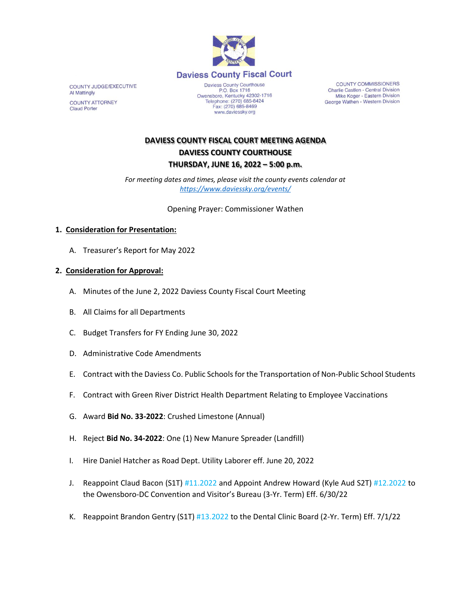

COUNTY JUDGE/EXECUTIVE Al Mattingly **COUNTY ATTORNEY Claud Porter** 

Daviess County Courthouse P.O. Box 1716<br>P.O. Box 1716<br>Owensboro, Kentucky 42302-1716<br>Telephone: (270) 685-8424 Fax: (270) 685-8469 www.daviessky.org

**COUNTY COMMISSIONERS** Charlie Castlen - Central Division Mike Koger - Eastern Division George Wathen - Western Division

## **DAVIESS COUNTY FISCAL COURT MEETING AGENDA DAVIESS COUNTY COURTHOUSE THURSDAY, JUNE 16, 2022 – 5:00 p.m.**

*For meeting dates and times, please visit the county events calendar at <https://www.daviessky.org/events/>*

Opening Prayer: Commissioner Wathen

## **1. Consideration for Presentation:**

A. Treasurer's Report for May 2022

## **2. Consideration for Approval:**

- A. Minutes of the June 2, 2022 Daviess County Fiscal Court Meeting
- B. All Claims for all Departments
- C. Budget Transfers for FY Ending June 30, 2022
- D. Administrative Code Amendments
- E. Contract with the Daviess Co. Public Schools for the Transportation of Non-Public School Students
- F. Contract with Green River District Health Department Relating to Employee Vaccinations
- G. Award **Bid No. 33-2022**: Crushed Limestone (Annual)
- H. Reject **Bid No. 34-2022**: One (1) New Manure Spreader (Landfill)
- I. Hire Daniel Hatcher as Road Dept. Utility Laborer eff. June 20, 2022
- J. Reappoint Claud Bacon (S1T) #11.2022 and Appoint Andrew Howard (Kyle Aud S2T) #12.2022 to the Owensboro-DC Convention and Visitor's Bureau (3-Yr. Term) Eff. 6/30/22
- K. Reappoint Brandon Gentry (S1T) #13.2022 to the Dental Clinic Board (2-Yr. Term) Eff. 7/1/22